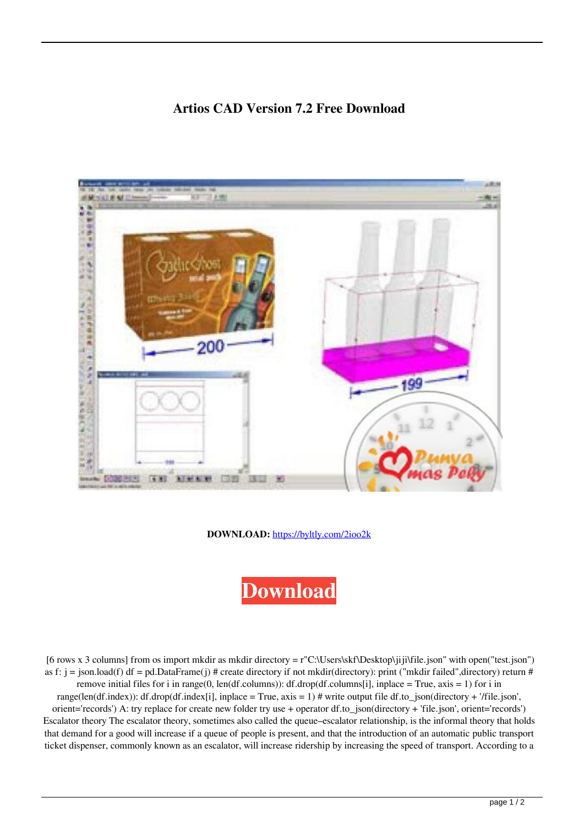## **Artios CAD Version 7.2 Free Download**



**DOWNLOAD:** <https://byltly.com/2ioo2k>



[6 rows x 3 columns] from os import mkdir as mkdir directory = r"C:\Users\skf\Desktop\jiji\file.json" with open("test.json") as f: j = json.load(f) df = pd.DataFrame(j) # create directory if not mkdir(directory): print ("mkdir failed",directory) return # remove initial files for i in range(0, len(df.columns)): df.drop(df.columns[i], inplace = True, axis = 1) for i in range(len(df.index)): df.drop(df.index[i], inplace = True, axis = 1) # write output file df.to\_json(directory + '/file.json', orient='records') A: try replace for create new folder try use + operator df.to\_json(directory + 'file.json', orient='records') Escalator theory The escalator theory, sometimes also called the queue–escalator relationship, is the informal theory that holds that demand for a good will increase if a queue of people is present, and that the introduction of an automatic public transport ticket dispenser, commonly known as an escalator, will increase ridership by increasing the speed of transport. According to a